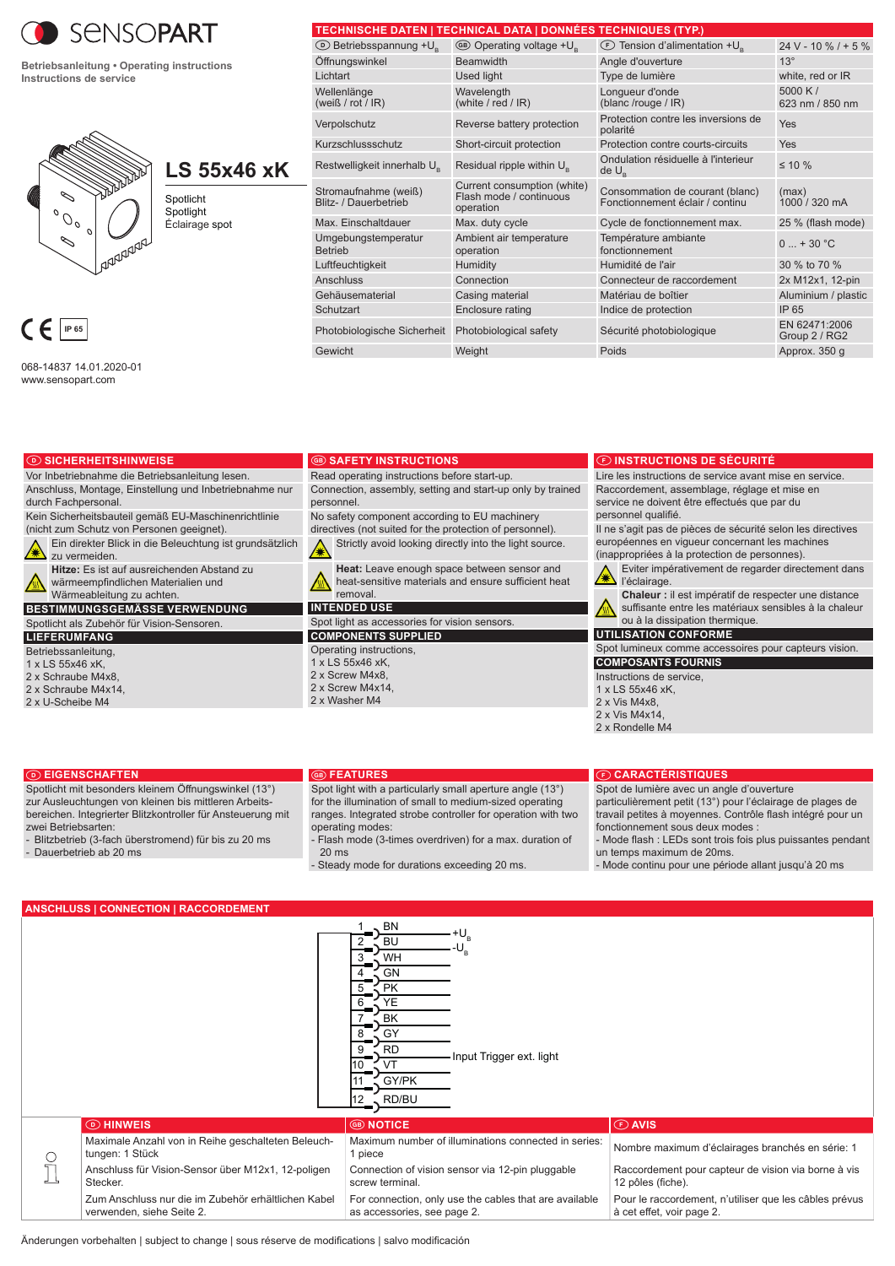

**Betriebsanleitung • Operating instructions Instructions de service**



# **LS 55x46 xK**

Spotlicht **Spotlight** Éclairage spot

068-14837 14.01.2020-01 www.sensopart.com

durch Fachpersonal.

zu vermeiden.

**LIEFERUMFANG Betriebssanleitung** 1 x LS 55x46 xK, 2 x Schraube M4x8, 2 x Schraube M4x14, 2 x U-Scheibe M4

D **SICHERHEITSHINWEISE**

Vor Inbetriebnahme die Betriebsanleitung lesen. Anschluss, Montage, Einstellung und Inbetriebnahme nur

(nicht zum Schutz von Personen geeignet).

Kein Sicherheitsbauteil gemäß EU-Maschinenrichtlinie

**Hitze:** Es ist auf ausreichenden Abstand zu wärmeempfindlichen Materialien und Wärmeableitung zu achten. **BESTIMMUNGSGEMÄSSE VERWENDUNG** Spotlicht als Zubehör für Vision-Sensoren.

Ein direkter Blick in die Beleuchtung ist grundsätzlich

|                                               | TECHNISCHE DATEN   TECHNICAL DATA   DONNEES TECHNIQUES (TYP.)       |                                                                    |                                |
|-----------------------------------------------|---------------------------------------------------------------------|--------------------------------------------------------------------|--------------------------------|
| <b>E</b> Betriebsspannung +U <sub>s</sub>     | <b>68 Operating voltage +U</b> <sub>c</sub>                         | ◯ Tension d'alimentation + U <sub>s</sub>                          | $24 V - 10 \% / + 5 \%$        |
| Öffnungswinkel                                | <b>Beamwidth</b>                                                    | Angle d'ouverture                                                  | $13^\circ$                     |
| Lichtart                                      | <b>Used light</b>                                                   | Type de lumière                                                    | white, red or IR               |
| Wellenlänge<br>(weiß / rot / $IR$ )           | Wavelength<br>(white / red / $IR$ )                                 | Longueur d'onde<br>(blanc /rouge / IR)                             | 5000 K $/$<br>623 nm / 850 nm  |
| Verpolschutz                                  | Reverse battery protection                                          | Protection contre les inversions de<br>polarité                    | Yes                            |
| Kurzschlussschutz                             | Short-circuit protection                                            | Protection contre courts-circuits                                  | Yes                            |
| Restwelligkeit innerhalb U <sub>s</sub>       | Residual ripple within U <sub>s</sub>                               | Ondulation résiduelle à l'interieur<br>$de U_{\rm R}$              | $\leq 10 \%$                   |
| Stromaufnahme (weiß)<br>Blitz- / Dauerbetrieb | Current consumption (white)<br>Flash mode / continuous<br>operation | Consommation de courant (blanc)<br>Fonctionnement éclair / continu | (max)<br>1000 / 320 mA         |
| Max. Einschaltdauer                           | Max. duty cycle                                                     | Cycle de fonctionnement max.                                       | 25 % (flash mode)              |
| Umgebungstemperatur<br><b>Betrieb</b>         | Ambient air temperature<br>operation                                | Température ambiante<br>fonctionnement                             | $0  + 30 °C$                   |
| Luftfeuchtigkeit                              | Humidity                                                            | Humidité de l'air                                                  | 30 % to 70 %                   |
| <b>Anschluss</b>                              | Connection                                                          | Connecteur de raccordement                                         | 2x M12x1, 12-pin               |
| Gehäusematerial                               | Casing material                                                     | Matériau de boîtier                                                | Aluminium / plastic            |
| Schutzart                                     | Enclosure rating                                                    | Indice de protection                                               | IP 65                          |
| Photobiologische Sicherheit                   | Photobiological safety                                              | Sécurité photobiologique                                           | EN 62471:2006<br>Group 2 / RG2 |
| Gewicht                                       | Weight                                                              | Poids                                                              | Approx. 350 q                  |

#### **B SAFETY INSTRUCTIONS**

Read operating instructions before start-up.

Connection, assembly, setting and start-up only by trained personnel.

No safety component according to EU machinery directives (not suited for the protection of personnel). Strictly avoid looking directly into the light source. ∕₩

**Heat:** Leave enough space between sensor and heat-sensitive materials and ensure sufficient heat removal.

**INTENDED USE**

Spot light as accessories for vision sensors. **COMPONENTS SUPPLIED**

Operating instructions, 1 x LS 55x46 xK, 2 x Screw M4x8, 2 x Screw M4x14, 2 x Washer M4

# F **INSTRUCTIONS DE SÉCURITÉ**

Lire les instructions de service avant mise en service. Raccordement, assemblage, réglage et mise en service ne doivent être effectués que par du personnel qualifié.

Il ne s'agit pas de pièces de sécurité selon les directives européennes en vigueur concernant les machines (inappropriées à la protection de personnes).

Eviter impérativement de regarder directement dans l'éclairage.

**Chaleur :** il est impératif de respecter une distance suffisante entre les matériaux sensibles à la chaleur ou à la dissipation thermique.

**UTILISATION CONFORME**

Spot lumineux comme accessoires pour capteurs vision. **COMPOSANTS FOURNIS**

Instructions de service,

- $1 \times 1$  S 55 $\times$ 46  $\times$ K
- 2 x Vis M4x8,
- 2 x Vis M4x14,

#### 2 x Rondelle M4

#### D **EIGENSCHAFTEN**

Spotlicht mit besonders kleinem Öffnungswinkel (13°) zur Ausleuchtungen von kleinen bis mittleren Arbeitsbereichen. Integrierter Blitzkontroller für Ansteuerung mit zwei Betriebsarten:

- Blitzbetrieb (3-fach überstromend) für bis zu 20 ms
- Dauerbetrieb ab 20 ms

#### **B** FEATURES

Spot light with a particularly small aperture angle (13°) for the illumination of small to medium-sized operating ranges. Integrated strobe controller for operation with two operating modes:

Flash mode (3-times overdriven) for a max. duration of 20 ms

- Steady mode for durations exceeding 20 ms.

### F **CARACTÉRISTIQUES**

Spot de lumière avec un angle d'ouverture particulièrement petit (13°) pour l'éclairage de plages de travail petites à moyennes. Contrôle flash intégré pour un fonctionnement sous deux modes

- Mode flash : LEDs sont trois fois plus puissantes pendant un temps maximum de 20ms.

- Mode continu pour une période allant jusqu'à 20 ms

## **ANSCHLUSS | CONNECTION | RACCORDEMENT**

|   |                                                                                  | , BN<br><b>BU</b><br>WH<br>GN<br><b>PK</b><br>YE<br>BK<br>GY<br><b>RD</b><br>Input Trigger ext. light<br>GY/PK<br>$12$ RD/BU |                                                                                     |
|---|----------------------------------------------------------------------------------|------------------------------------------------------------------------------------------------------------------------------|-------------------------------------------------------------------------------------|
|   | <b>O</b> HINWEIS                                                                 | <b>GB NOTICE</b>                                                                                                             | <b><i>C</i></b> AVIS                                                                |
| C | Maximale Anzahl von in Reihe geschalteten Beleuch-<br>tungen: 1 Stück            | Maximum number of illuminations connected in series:<br>1 piece                                                              | Nombre maximum d'éclairages branchés en série: 1                                    |
|   | Anschluss für Vision-Sensor über M12x1, 12-poligen<br>Stecker.                   | Connection of vision sensor via 12-pin pluggable<br>screw terminal.                                                          | Raccordement pour capteur de vision via borne à vis<br>12 pôles (fiche).            |
|   | Zum Anschluss nur die im Zubehör erhältlichen Kabel<br>verwenden, siehe Seite 2. | For connection, only use the cables that are available<br>as accessories, see page 2.                                        | Pour le raccordement, n'utiliser que les câbles prévus<br>à cet effet, voir page 2. |